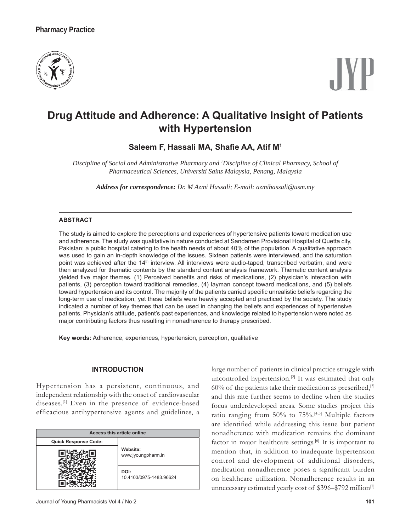

# **Drug Attitude and Adherence: A Qualitative Insight of Patients with Hypertension**

# **Saleem F, Hassali MA, Sha¿e AA, Atif M1**

*Discipline of Social and Administrative Pharmacy and 1 Discipline of Clinical Pharmacy, School of Pharmaceutical Sciences, Universiti Sains Malaysia, Penang, Malaysia*

*Address for correspondence: Dr. M Azmi Hassali; E-mail: azmihassali@usm.my*

# **ABSTRACT**

The study is aimed to explore the perceptions and experiences of hypertensive patients toward medication use and adherence. The study was qualitative in nature conducted at Sandamen Provisional Hospital of Quetta city, Pakistan; a public hospital catering to the health needs of about 40% of the population. A qualitative approach was used to gain an in-depth knowledge of the issues. Sixteen patients were interviewed, and the saturation point was achieved after the 14<sup>th</sup> interview. All interviews were audio-taped, transcribed verbatim, and were then analyzed for thematic contents by the standard content analysis framework. Thematic content analysis yielded five major themes. (1) Perceived benefits and risks of medications, (2) physician's interaction with patients, (3) perception toward traditional remedies, (4) layman concept toward medications, and (5) beliefs toward hypertension and its control. The majority of the patients carried specific unrealistic beliefs regarding the long-term use of medication; yet these beliefs were heavily accepted and practiced by the society. The study indicated a number of key themes that can be used in changing the beliefs and experiences of hypertensive patients. Physician's attitude, patient's past experiences, and knowledge related to hypertension were noted as major contributing factors thus resulting in nonadherence to therapy prescribed.

**Key words:** Adherence, experiences, hypertension, perception, qualitative

# **INTRODUCTION**

Hypertension has a persistent, continuous, and independent relationship with the onset of cardiovascular diseases.[1] Even in the presence of evidence-based efficacious antihypertensive agents and guidelines, a

| Access this article online |                                 |
|----------------------------|---------------------------------|
| Quick Response Code:       |                                 |
|                            | Website:<br>www.jyoungpharm.in  |
|                            | DOI:<br>10.4103/0975-1483.96624 |

large number of patients in clinical practice struggle with uncontrolled hypertension.[2] It was estimated that only  $60\%$  of the patients take their medication as prescribed,<sup>[3]</sup> and this rate further seems to decline when the studies focus underdeveloped areas. Some studies project this ratio ranging from 50% to 75%. [4,5] Multiple factors are identified while addressing this issue but patient nonadherence with medication remains the dominant factor in major healthcare settings.<sup>[6]</sup> It is important to mention that, in addition to inadequate hypertension control and development of additional disorders, medication nonadherence poses a significant burden on healthcare utilization. Nonadherence results in an unnecessary estimated yearly cost of \$396-\$792 million<sup>[7]</sup>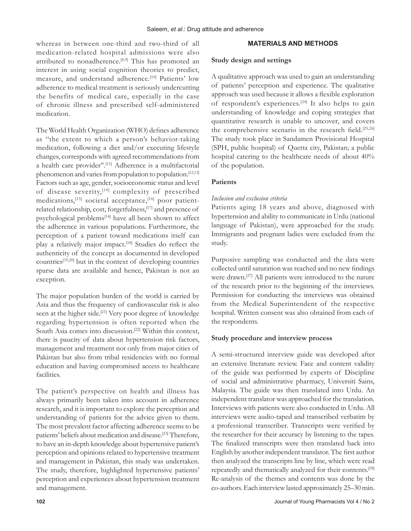whereas in between one-third and two-third of all medication-related hospital admissions were also attributed to nonadherence.<sup>[8,9]</sup> This has promoted an interest in using social cognition theories to predict, measure, and understand adherence.<sup>[10]</sup> Patients' low adherence to medical treatment is seriously undercutting the benefits of medical care, especially in the case of chronic illness and prescribed self-administered medication.

The World Health Organization (WHO) defines adherence as "the extent to which a person's behavior-taking medication, following a diet and/or executing lifestyle changes, corresponds with agreed recommendations from a health care provider''.[11] Adherence is a multifactorial phenomenon and varies from population to population.<sup>[12,13]</sup> Factors such as age, gender, socioeconomic status and level of disease severity,<sup>[14]</sup> complexity of prescribed medications, <a>[15]</a> societal acceptance,<a>[16]</a> poor patientrelated relationship, cost, forgetfulness,[17] and presence of psychological problems<sup>[14]</sup> have all been shown to affect the adherence in various populations. Furthermore, the perception of a patient toward medications itself can play a relatively major impact.<sup>[18]</sup> Studies do reflect the authenticity of the concept as documented in developed countries<sup>[19,20]</sup> but in the context of developing countries sparse data are available and hence, Pakistan is not an exception.

The major population burden of the world is carried by Asia and thus the frequency of cardiovascular risk is also seen at the higher side.<sup>[21]</sup> Very poor degree of knowledge regarding hypertension is often reported when the South Asia comes into discussion.<sup>[22]</sup> Within this context, there is paucity of data about hypertension risk factors, management and treatment not only from major cities of Pakistan but also from tribal residencies with no formal education and having compromised access to healthcare facilities.

The patient's perspective on health and illness has always primarily been taken into account in adherence research, and it is important to explore the perception and understanding of patients for the advice given to them. The most prevalent factor affecting adherence seems to be patients' beliefs about medication and disease.<sup>[23]</sup> Therefore, to have an in-depth knowledge about hypertensive patient's perception and opinions related to hypertensive treatment and management in Pakistan, this study was undertaken. The study, therefore, highlighted hypertensive patients' perception and experiences about hypertension treatment and management.

# **MATERIALS AND METHODS**

# **Study design and settings**

A qualitative approach was used to gain an understanding of patients' perception and experience. The qualitative approach was used because it allows a flexible exploration of respondent's experiences.<sup>[24]</sup> It also helps to gain understanding of knowledge and coping strategies that quantitative research is unable to uncover, and covers the comprehensive scenario in the research field.<sup>[25,26]</sup> The study took place in Sandamen Provisional Hospital (SPH, public hospital) of Quetta city, Pakistan; a public hospital catering to the healthcare needs of about 40% of the population.

# **Patients**

# *Inclusion and exclusion criteria*

Patients aging 18 years and above, diagnosed with hypertension and ability to communicate in Urdu (national language of Pakistan), were approached for the study. Immigrants and pregnant ladies were excluded from the study.

Purposive sampling was conducted and the data were collected until saturation was reached and no new findings were drawn.[27] All patients were introduced to the nature of the research prior to the beginning of the interviews. Permission for conducting the interviews was obtained from the Medical Superintendent of the respective hospital. Written consent was also obtained from each of the respondents.

# **Study procedure and interview process**

A semi-structured interview guide was developed after an extensive literature review. Face and content validity of the guide was performed by experts of Discipline of social and administrative pharmacy, Universiti Sains, Malaysia. The guide was then translated into Urdu. An independent translator was approached for the translation. Interviews with patients were also conducted in Urdu. All interviews were audio-taped and transcribed verbatim by a professional transcriber. Transcripts were verified by the researcher for their accuracy by listening to the tapes. The finalized transcripts were then translated back into English by another independent translator. The first author then analyzed the transcripts line by line, which were read repeatedly and thematically analyzed for their contents.[28] Re-analysis of the themes and contents was done by the co-authors. Each interview lasted approximately 25–30 min.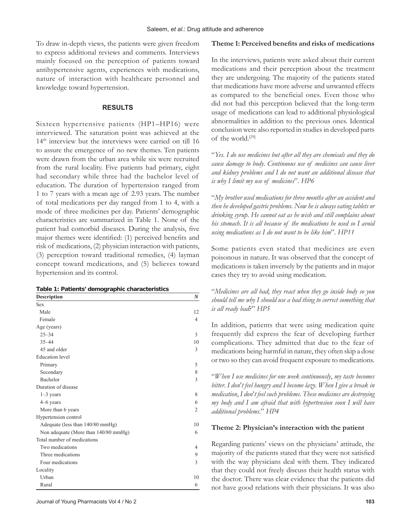To draw in-depth views, the patients were given freedom to express additional reviews and comments. Interviews mainly focused on the perception of patients toward antihypertensive agents, experiences with medications, nature of interaction with healthcare personnel and knowledge toward hypertension.

# **RESULTS**

Sixteen hypertensive patients (HP1-HP16) were interviewed. The saturation point was achieved at the 14<sup>th</sup> interview but the interviews were carried on till 16 to assure the emergence of no new themes. Ten patients were drawn from the urban area while six were recruited from the rural locality. Five patients had primary, eight had secondary while three had the bachelor level of education. The duration of hypertension ranged from 1 to 7 years with a mean age of 2.93 years. The number of total medications per day ranged from 1 to 4, with a mode of three medicines per day. Patients' demographic characteristics are summarized in Table 1. None of the patient had comorbid diseases. During the analysis, five major themes were identified: (1) perceived benefits and risk of medications, (2) physician interaction with patients, (3) perception toward traditional remedies, (4) layman concept toward medications, and (5) believes toward hypertension and its control.

| <b>Description</b>                   | $\boldsymbol{N}$ |
|--------------------------------------|------------------|
| <b>Sex</b>                           |                  |
| Male                                 | 12               |
| Female                               | 4                |
| Age (years)                          |                  |
| $25 - 34$                            | 3                |
| $35 - 44$                            | 10               |
| 45 and older                         | 3                |
| <b>Education</b> level               |                  |
| Primary                              | 5                |
| Secondary                            | 8                |
| Bachelor                             | 3                |
| Duration of disease                  |                  |
| $1-3$ years                          | 8                |
| 4-6 years                            | 6                |
| More than 6 years                    | $\overline{2}$   |
| Hypertension control                 |                  |
| Adequate (less than 140/80 mmHg)     | 10               |
| Non adequate (More than 140/80 mmHg) | 6                |
| Total number of medications          |                  |
| Two medications                      | $\overline{4}$   |
| Three medications                    | 9                |
| Four medications                     | 3                |
| Locality                             |                  |
| Urban                                | 10               |
| Rural                                | 6                |

#### Theme 1: Perceived benefits and risks of medications

In the interviews, patients were asked about their current medications and their perception about the treatment they are undergoing. The majority of the patients stated that medications have more adverse and unwanted effects as compared to the beneficial ones. Even those who did not had this perception believed that the long-term usage of medications can lead to additional physiological abnormalities in addition to the previous ones. Identical conclusion were also reported in studies in developed parts of the world.[29]

"*Yes*. *I do use medicines but after all they are chemicals and they do cause damage to body*. *Continuous use of medicines can cause liver and kidney problems and I do not want an additional disease that is why I limit my use of medicines*". *HP6*

"*My brother used medications for three months after an accident and then he developed gastric problems*. *Now he is always eating tablets or drinking syrup*. *He cannot eat as he wish and still complains about his stomach*. *It is all because of the medications he used so I avoid using medications as I do not want to be like him*". *HP11*

Some patients even stated that medicines are even poisonous in nature. It was observed that the concept of medications is taken inversely by the patients and in major cases they try to avoid using medication.

"*Medicines are all bad*; *they react when they go inside body so you should tell me why I should use a bad thing to correct something that is all ready bad?*" HP5

In addition, patients that were using medication quite frequently did express the fear of developing further complications. They admitted that due to the fear of medications being harmful in nature, they often skip a dose or two so they can avoid frequent exposure to medications.

"*When I use medicines for one week continuously*, *my taste becomes bitter*. *I don*'*t feel hungry and I become lazy*. *When I give a break in medication*, *I don*'*t feel such problems*. *These medicines are destroying my body and I am afraid that with hypertension soon I will have additional problems*." *HP4*

#### **Theme 2: Physician's interaction with the patient**

Regarding patients' views on the physicians' attitude, the majority of the patients stated that they were not satisfied with the way physicians deal with them. They indicated that they could not freely discuss their health status with the doctor. There was clear evidence that the patients did not have good relations with their physicians. It was also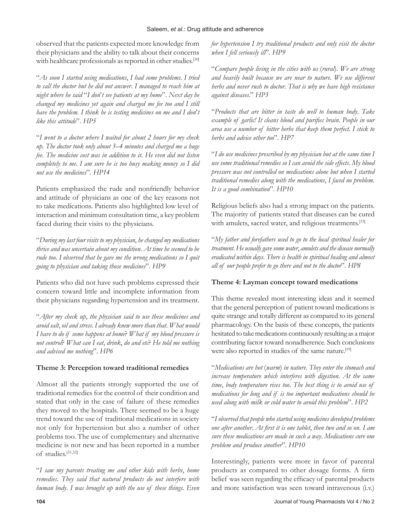## Saleem, *et al*.: Drug attitude and adherence

observed that the patients expected more knowledge from their physicians and the ability to talk about their concerns with healthcare professionals as reported in other studies.<sup>[30]</sup>

"*As soon I started using medications*, *I had some problems*. *I tried to call the doctor but he did not answer*. *I managed to reach him at night where he said* "*I don*'*t see patients at my home*". *Next day he changed my medicines yet again and charged me fee too and I still have the problem*. *I think he is testing medicines on me and I don*'*t like this attitude*". *HP5*

"*I went to a doctor where I waited for about 2 hours for my check up*. *The doctor took only about 3*–*4 minutes and charged me a huge fee*. *The medicine cost was in addition to it*. *He even did not listen completely to me*. *I am sure he is too busy making money so I did not use the medicines*". *HP14*

Patients emphasized the rude and nonfriendly behavior and attitude of physicians as one of the key reasons not to take medications. Patients also highlighted low level of interaction and minimum consultation time, a key problem faced during their visits to the physicians.

"*During my last four visits to my physician*, *he changed my medications thrice and was uncertain about my condition*. *At time he seemed to be rude too*. *I observed that he gave me the wrong medications so I quit going to physician and taking those medicines*". *HP9*

Patients who did not have such problems expressed their concern toward little and incomplete information from their physicians regarding hypertension and its treatment.

"*After my check up*, *the physician said to use these medicines and avoid salt*, *oil and stress*. *I already knew more than that*. *What would I have to do if some happens at home? What if my blood pressure is not control*" *What can I eat*, *drink*, *do and etc*" *He told me nothing and advised me nothing*". *HP6*

# **Theme 3: Perception toward traditional remedies**

Almost all the patients strongly supported the use of traditional remedies for the control of their condition and stated that only in the case of failure of these remedies they moved to the hospitals. There seemed to be a huge trend toward the use of traditional medications in society not only for hypertension but also a number of other problems too. The use of complementary and alternative medicine is not new and has been reported in a number of studies.[31,32]

"*I saw my parents treating me and other kids with herbs*, *home remedies*. *They said that natural products do not interfere with human body*. *I was brought up with the use of these things*. *Even* 

*for hypertension I try traditional products and only visit the doctor when I fell seriously ill*". *HP9*

"*Compare people living in the cities with us* (*rural*). *We are strong and heavily built because we are near to nature*. *We use different herbs and never rush to doctor*. *That is why we have high resistance against diseases*." *HP3*

"*Products that are bitter in taste do well to human body*. *Take example of garlic! It cleans blood and purifies brain. People in our area use a number of bitter herbs that keep them perfect*. *I stick to herbs and advice other too*". *HP7*

"*I do use medicines prescribed by my physician but at the same time I use some traditional remedies so I can avoid the side effects*. *My blood pressure was not controlled on medications alone but when I started traditional remedies along with the medications*, *I faced no problem*. *It is a good combination*". *HP10*

Religious beliefs also had a strong impact on the patients. The majority of patients stated that diseases can be cured with amulets, sacred water, and religious treatments.<sup>[33]</sup>

"*My father and forefathers used to go to the local spiritual healer for treatment*. *He usually gave some water*, *amulets and the disease normally eradicated within days*. *There is health in spiritual healing and almost all of our people prefer to go there and not to the doctor*". *HP8*

# **Theme 4: Layman concept toward medications**

This theme revealed most interesting ideas and it seemed that the general perception of patient toward medications is quite strange and totally different as compared to its general pharmacology. On the basis of these concepts, the patients hesitated to take medications continuously resulting as a major contributing factor toward nonadherence. Such conclusions were also reported in studies of the same nature.<sup>[19]</sup>

"*Medications are hot* (*warm*) *in nature*. *They enter the stomach and increase temperature which interferes with digestion*. *At the same time*, *body temperature rises too*. *The best thing is to avoid use of medications for long and if is too important medications should be used along with milk or cold water to avoid this problem*". *HP2*

"*I observed that people who started using medicines developed problems one after another. At first it is one tablet, then two and so on.* I am *sure these medications are made in such a way*. *Medications cure one problem and produce another*". *HP10*

Interestingly, patients were more in favor of parental products as compared to other dosage forms. A firm belief was seen regarding the efficacy of parental products and more satisfaction was seen toward intravenous (i.v.)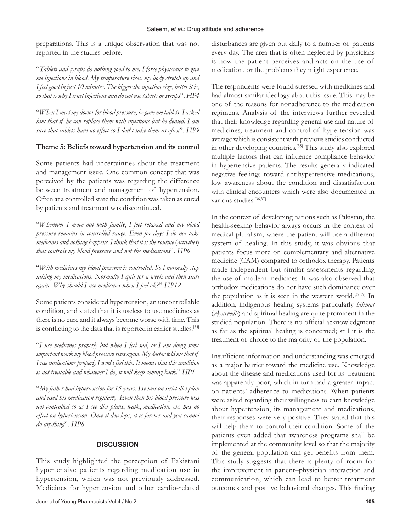preparations. This is a unique observation that was not reported in the studies before.

"*Tablets and syrups do nothing good to me*. *I force physicians to give me injections in blood*. *My temperature rises*, *my body stretch up and I feel good in just 10 minutes*. *The bigger the injection size*, *better it is*, *so that is why I trust injections and do not use tablets or syrups*". *HP4*

"*When I meet my doctor for blood pressure*, *he gave me tablets*. *I asked him that if he can replace them with injections but he denied*. *I am sure that tablets have no effect so I don*'*t take them as often*". *HP9*

# **Theme 5: Beliefs toward hypertension and its control**

Some patients had uncertainties about the treatment and management issue. One common concept that was perceived by the patients was regarding the difference between treatment and management of hypertension. Often at a controlled state the condition was taken as cured by patients and treatment was discontinued.

"*Whenever I move out with family*, *I feel relaxed and my blood pressure remains in controlled range*. *Even for days I do not take medicines and nothing happens*. *I think that it is the routine* (*activities*) *that controls my blood pressure and not the medications*". *HP6*

"*With medicines my blood pressure is controlled*. *So I normally stop taking my medications*. *Normally I quit for a week and then start again.* Why should I use medicines when I feel ok?" HP12

Some patients considered hypertension, an uncontrollable condition, and stated that it is useless to use medicines as there is no cure and it always become worse with time. This is conflicting to the data that is reported in earlier studies.<sup>[34]</sup>

"*I use medicines properly but when I feel sad*, *or I am doing some important work my blood pressure rises again*. *My doctor told me that if I use medications properly I won*'*t feel this*. *It means that this condition is not treatable and whatever I do*, *it will keep coming back*." *HP1*

"*My father had hypertension for 15 years*. *He was on strict diet plan and used his medication regularly*. *Even then his blood pressure was not controlled so as I see diet plans*, *walk*, *medication*, *etc*. *has no effect on hypertension*. *Once it develops*, *it is forever and you cannot do anything*". *HP8*

# **DISCUSSION**

This study highlighted the perception of Pakistani hypertensive patients regarding medication use in hypertension, which was not previously addressed. Medicines for hypertension and other cardio-related

disturbances are given out daily to a number of patients every day. The area that is often neglected by physicians is how the patient perceives and acts on the use of medication, or the problems they might experience.

The respondents were found stressed with medicines and had almost similar ideology about this issue. This may be one of the reasons for nonadherence to the medication regimens. Analysis of the interviews further revealed that their knowledge regarding general use and nature of medicines, treatment and control of hypertension was average which is consistent with previous studies conducted in other developing countries.<sup>[35]</sup> This study also explored multiple factors that can influence compliance behavior in hypertensive patients. The results generally indicated negative feelings toward antihypertensive medications, low awareness about the condition and dissatisfaction with clinical encounters which were also documented in various studies.<sup>[36,37]</sup>

In the context of developing nations such as Pakistan, the health-seeking behavior always occurs in the context of medical pluralism, where the patient will use a different system of healing. In this study, it was obvious that patients focus more on complementary and alternative medicine (CAM) compared to orthodox therapy. Patients made independent but similar assessments regarding the use of modern medicines. It was also observed that orthodox medications do not have such dominance over the population as it is seen in the western world.<sup>[38,39]</sup> In addition, indigenous healing systems particularly *hikmat*  (*Ayurvedic*) and spiritual healing are quite prominent in the studied population. There is no official acknowledgment as far as the spiritual healing is concerned; still it is the treatment of choice to the majority of the population.

Insufficient information and understanding was emerged as a major barrier toward the medicine use. Knowledge about the disease and medications used for its treatment was apparently poor, which in turn had a greater impact on patients' adherence to medications. When patients were asked regarding their willingness to earn knowledge about hypertension, its management and medications, their responses were very positive. They stated that this will help them to control their condition. Some of the patients even added that awareness programs shall be implemented at the community level so that the majority of the general population can get benefits from them. This study suggests that there is plenty of room for the improvement in patient–physician interaction and communication, which can lead to better treatment outcomes and positive behavioral changes. This finding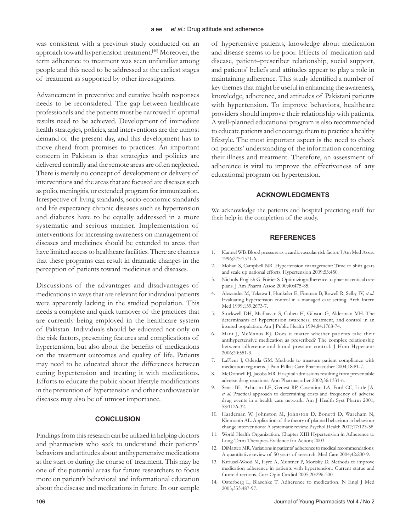was consistent with a previous study conducted on an approach toward hypertension treatment.[40] Moreover, the term adherence to treatment was seen unfamiliar among people and this need to be addressed at the earliest stages of treatment as supported by other investigators.

Advancement in preventive and curative health responses needs to be reconsidered. The gap between healthcare professionals and the patients must be narrowed if optimal results need to be achieved. Development of immediate health strategies, policies, and interventions are the utmost demand of the present day, and this development has to move ahead from promises to practices. An important concern in Pakistan is that strategies and policies are delivered centrally and the remote areas are often neglected. There is merely no concept of development or delivery of interventions and the areas that are focused are diseases such as polio, meningitis, or extended program for immunization. Irrespective of living standards, socio-economic standards and life expectancy chronic diseases such as hypertension and diabetes have to be equally addressed in a more systematic and serious manner. Implementation of interventions for increasing awareness on management of diseases and medicines should be extended to areas that have limited access to healthcare facilities. There are chances that these programs can result in dramatic changes in the perception of patients toward medicines and diseases.

Discussions of the advantages and disadvantages of medications in ways that are relevant for individual patients were apparently lacking in the studied population. This needs a complete and quick turnover of the practices that are currently being employed in the healthcare system of Pakistan. Individuals should be educated not only on the risk factors, presenting features and complications of hypertension, but also about the benefits of medications on the treatment outcomes and quality of life. Patients may need to be educated about the differences between curing hypertension and treating it with medications. Efforts to educate the public about lifestyle modifications in the prevention of hypertension and other cardiovascular diseases may also be of utmost importance.

#### **CONCLUSION**

Findings from this research can be utilized in helping doctors and pharmacists who seek to understand their patients' behaviors and attitudes about antihypertensive medications at the start or during the course of treatment. This may be one of the potential areas for future researchers to focus more on patient's behavioral and informational education about the disease and medications in future. In our sample of hypertensive patients, knowledge about medication and disease seems to be poor. Effects of medication and disease, patient–prescriber relationship, social support, and patients' beliefs and attitudes appear to play a role in maintaining adherence. This study identified a number of key themes that might be useful in enhancing the awareness, knowledge, adherence, and attitudes of Pakistani patients with hypertension. To improve behaviors, healthcare providers should improve their relationship with patients. A well-planned educational program is also recommended to educate patients and encourage them to practice a healthy lifestyle. The most important aspect is the need to check on patients' understanding of the information concerning their illness and treatment. Therefore, an assessment of adherence is vital to improve the effectiveness of any educational program on hypertension.

#### **ACKNOWLEDGMENTS**

We acknowledge the patients and hospital practicing staff for their help in the completion of the study.

### **REFERENCES**

- 1. Kannel WB. Blood pressure as a cardiovascular risk factor. J Am Med Assoc 1996;275:1571-6.
- 2. Mohan S, Campbell NR. Hypertension management: Time to shift gears and scale up national efforts. Hypertension 2009;53:450.
- 3. Nichols-English G, Poirier S. Optimizing adherence to pharmaceutical care plans. J Am Pharm Assoc 2000;40:475-85.
- Alexander M, Tekawa I, Hunkeler E, Fireman B, Rowell R, Selby JV, et al. Evaluating hypertension control in a managed care setting. Arch Intern Med 1999;159:2673-7.
- 5. Stockwell DH, Madhavan S, Cohen H, Gibson G, Alderman MH. The determinants of hypertension awareness, treatment, and control in an insured population. Am J Public Health 1994;84:1768-74.
- 6. Mant J, McManus RJ. Does it matter whether patients take their antihypertensive medication as prescribed? The complex relationship between adherence and blood pressure control. J Hum Hypertens 2006;20:551-3.
- 7. LaFleur J, Oderda GM. Methods to measure patient compliance with medication regimens. J Pain Palliat Care Pharmacother 2004;18:81-7.
- 8. McDonnell PJ, Jacobs MR. Hospital admissions resulting from preventable adverse drug reactions. Ann Pharmacother 2002;36:1331-6.
- 9. Senst BL, Achusim LE, Genest RP, Cosentino LA, Ford CC, Little JA, *et al*. Practical approach to determining costs and frequency of adverse drug events in a health care network. Am J Health Syst Pharm 2001; 58:1126-32.
- 10. Hardeman W, Johnston M, Johnston D, Bonetti D, Wareham N, Kinmonth AL. Application of the theory of planned behaviour in behaviour change interventions: A systematic review. Psychol Health 2002;17:123-58.
- 11. World Health Organization. Chapter XIII Hypertension in Adherence to Long-Term Therapies-Evidence for Action; 2003.
- 12. DiMatteo MR. Variations in patients' adherence to medical recommendations: A quantitative review of 50 years of research. Med Care 2004;42:200-9.
- 13. Krousel-Wood M, Hyre A, Muntner P, Morisky D. Methods to improve medication adherence in patients with hypertension: Current status and future directions. Curr Opin Cardiol 2005;20:296-300.
- 14. Osterberg L, Blaschke T. Adherence to medication. N Engl J Med 2005;353:487-97.